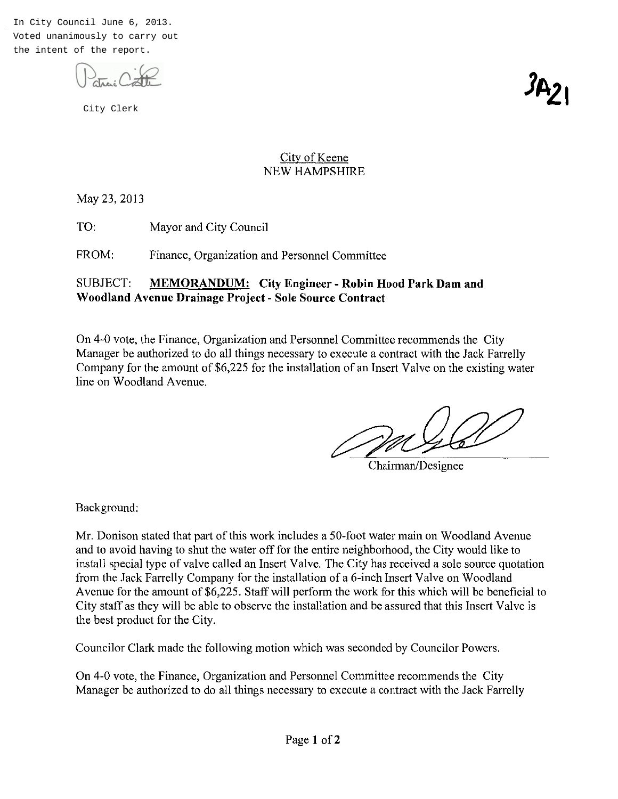In City Council June 6, 2013. Voted unanimously to carry out the intent of the report.



City Clerk

ʹϷ

## City of Keene NEW HAMPSHIRE

May 23, 2013

TO: Mayor and City Council

FROM: Finance, Organization and Personnel Committee

## SUBJECT: **MEMORANDUM: City Engineer - Robin Hood Park Dam and Woodland Avenue Drainage Project - Sole Source Contract**

On 4-0 vote, the Finance, Organization and Personnel Committee recommends the City Manager be authorized to do all things necessary to execute a contract with the Jack Farrelly Company for the amount of \$6,225 for the installation of an Insert Valve on the existing water line on Woodland Avenue. el Committee recommends the City<br>execute a contract with the Jack Farrelly<br>on of an Insert Valve on the existing water<br>Chairman/Designee

Background:

Mr. Donison stated that part of this work includes a 50-foot water main on Woodland Avenue and to avoid having to shut the water off for the entire neighborhood, the City would like to install special type of valve called an Insert Valve. The City has received a sole source quotation from the Jack Farrelly Company for the installation of a 6-inch Insert Valve on Woodland Avenue for the amount of \$6,225. Staff will perform the work for this which will be beneficial to City staff as they will be able to observe the installation and be assured that this Insert Valve is the best product for the City.

Councilor Clark made the following motion which was seconded by Councilor Powers.

On 4-0 vote, the Finance, Organization and Personnel Committee recommends the City Manager be authorized to do all things necessary to execute a contract with the Jack Farrelly